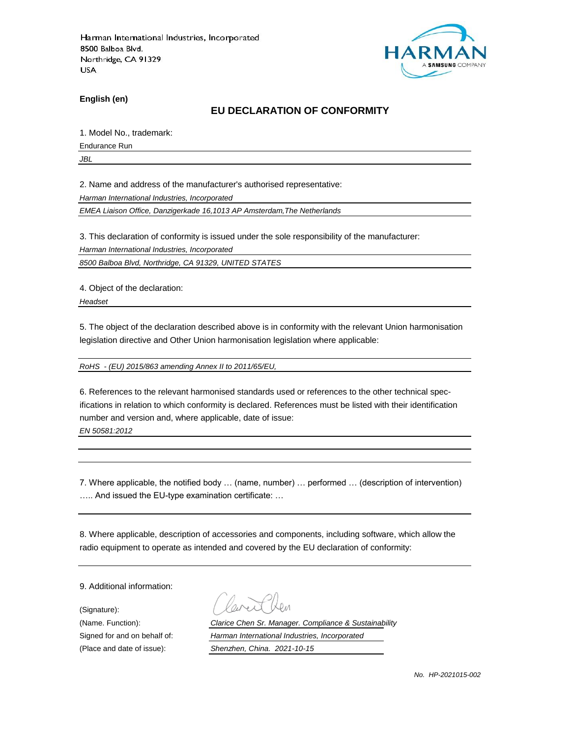

**English (en)**

### **EU DECLARATION OF CONFORMITY**

1. Model No., trademark:

Endurance Run

*JBL*

2. Name and address of the manufacturer's authorised representative:

*Harman International Industries, Incorporated*

*EMEA Liaison Office, Danzigerkade 16,1013 AP Amsterdam,The Netherlands*

3. This declaration of conformity is issued under the sole responsibility of the manufacturer:

*Harman International Industries, Incorporated*

*8500 Balboa Blvd, Northridge, CA 91329, UNITED STATES*

4. Object of the declaration:

*Headset*

5. The object of the declaration described above is in conformity with the relevant Union harmonisation legislation directive and Other Union harmonisation legislation where applicable:

*RoHS - (EU) 2015/863 amending Annex II to 2011/65/EU,*

6. References to the relevant harmonised standards used or references to the other technical specifications in relation to which conformity is declared. References must be listed with their identification number and version and, where applicable, date of issue:

*EN 50581:2012*

7. Where applicable, the notified body … (name, number) … performed … (description of intervention) ….. And issued the EU-type examination certificate: …

8. Where applicable, description of accessories and components, including software, which allow the radio equipment to operate as intended and covered by the EU declaration of conformity:

9. Additional information:

(Signature):

(Name. Function): *Clarice Chen Sr. Manager. Compliance & Sustainability* Signed for and on behalf of: *Harman International Industries, Incorporated* (Place and date of issue): *Shenzhen, China. 2021-10-15*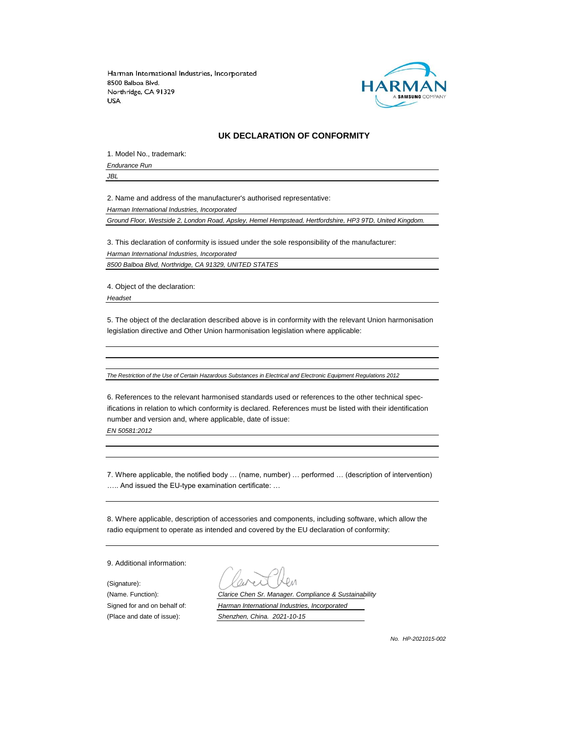

#### **UK DECLARATION OF CONFORMITY**

1. Model No., trademark:

*Endurance Run*

*JBL*

2. Name and address of the manufacturer's authorised representative:

*Harman International Industries, Incorporated*

*Ground Floor, Westside 2, London Road, Apsley, Hemel Hempstead, Hertfordshire, HP3 9TD, United Kingdom.*

3. This declaration of conformity is issued under the sole responsibility of the manufacturer: *Harman International Industries, Incorporated*

*8500 Balboa Blvd, Northridge, CA 91329, UNITED STATES*

4. Object of the declaration:

*Headset*

5. The object of the declaration described above is in conformity with the relevant Union harmonisation legislation directive and Other Union harmonisation legislation where applicable:

*The Restriction of the Use of Certain Hazardous Substances in Electrical and Electronic Equipment Regulations 2012*

6. References to the relevant harmonised standards used or references to the other technical specifications in relation to which conformity is declared. References must be listed with their identification number and version and, where applicable, date of issue:

*EN 50581:2012*

7. Where applicable, the notified body … (name, number) … performed … (description of intervention) ….. And issued the EU-type examination certificate: …

8. Where applicable, description of accessories and components, including software, which allow the radio equipment to operate as intended and covered by the EU declaration of conformity:

9. Additional information:

(Signature):

(Name. Function): *Clarice Chen Sr. Manager. Compliance & Sustainability* Signed for and on behalf of: *Harman International Industries, Incorporated* (Place and date of issue): *Shenzhen, China. 2021-10-15*

*No. HP-2021015-002*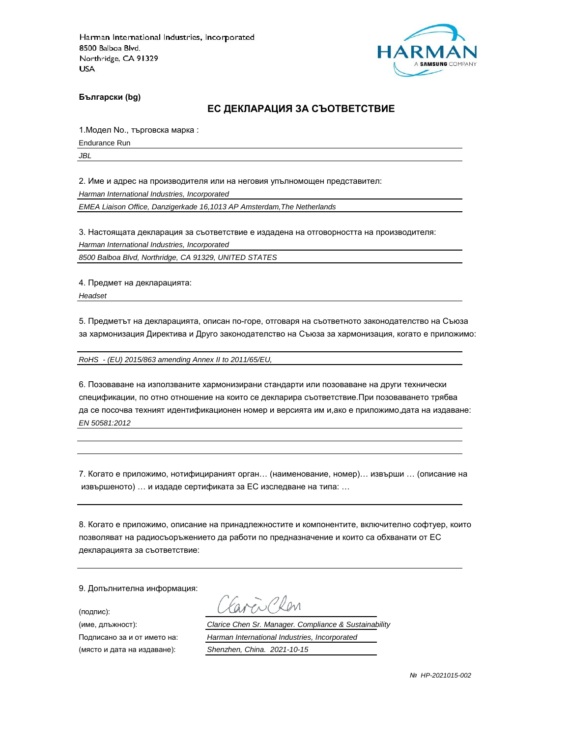

**Български (bg)**

### **ЕС ДЕКЛАРАЦИЯ ЗА СЪОТВЕТСТВИЕ**

1.Модел No., търговска марка :

Endurance Run

*JBL*

2. Име и адрес на производителя или на неговия упълномощен представител:

*Harman International Industries, Incorporated*

*EMEA Liaison Office, Danzigerkade 16,1013 AP Amsterdam,The Netherlands*

3. Настоящата декларация за съответствие е издадена на отговорността на производителя:

*Harman International Industries, Incorporated*

*8500 Balboa Blvd, Northridge, CA 91329, UNITED STATES*

4. Предмет на декларацията:

*Headset*

5. Предметът на декларацията, описан по-горе, отговаря на съответното законодателство на Съюза за хармонизация Директива и Друго законодателство на Съюза за хармонизация, когато е приложимо:

*RoHS - (EU) 2015/863 amending Annex II to 2011/65/EU,*

6. Позоваване на използваните хармонизирани стандарти или позоваване на други технически спецификации, по отно отношение на които се декларира съответствие.При позоваването трябва да се посочва техният идентификационен номер и версията им и,ако е приложимо,дата на издаване: *EN 50581:2012*

7. Когато е приложимо, нотифицираният орган… (наименование, номер)… извърши … (описание на извършеното) … и издаде сертификата за ЕС изследване на типа: …

8. Когато е приложимо, описание на принадлежностите и компонентите, включително софтуер, които позволяват на радиосъоръжението да работи по предназначение и които са обхванати от ЕС декларацията за съответствие:

9. Допълнителна информация:

(подпис):

(място и дата на издаване): *Shenzhen, China. 2021-10-15*

aven Clen

(име, длъжност): *Clarice Chen Sr. Manager. Compliance & Sustainability*

Подписано за и от името на: *Harman International Industries, Incorporated*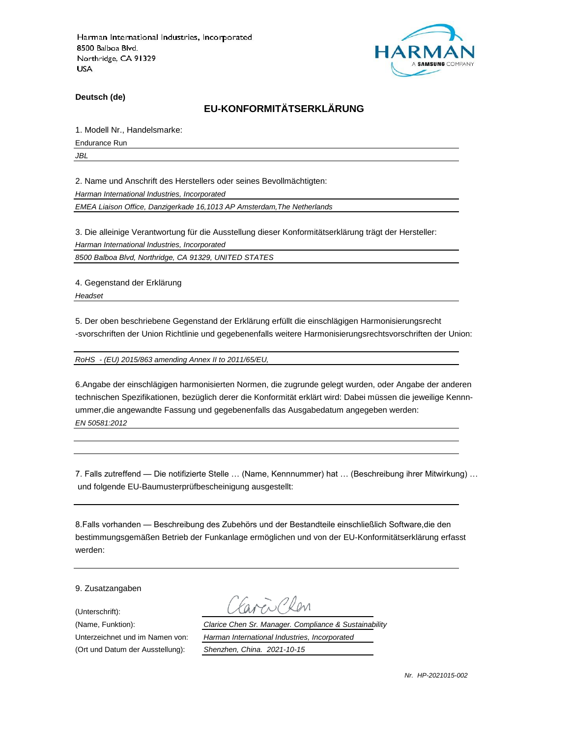

**Deutsch (de)**

## **EU-KONFORMITÄTSERKLÄRUNG**

1. Modell Nr., Handelsmarke:

Endurance Run

*JBL*

2. Name und Anschrift des Herstellers oder seines Bevollmächtigten:

*Harman International Industries, Incorporated*

*EMEA Liaison Office, Danzigerkade 16,1013 AP Amsterdam,The Netherlands*

3. Die alleinige Verantwortung für die Ausstellung dieser Konformitätserklärung trägt der Hersteller:

*Harman International Industries, Incorporated*

*8500 Balboa Blvd, Northridge, CA 91329, UNITED STATES*

4. Gegenstand der Erklärung

*Headset*

5. Der oben beschriebene Gegenstand der Erklärung erfüllt die einschlägigen Harmonisierungsrecht -svorschriften der Union Richtlinie und gegebenenfalls weitere Harmonisierungsrechtsvorschriften der Union:

*RoHS - (EU) 2015/863 amending Annex II to 2011/65/EU,*

6.Angabe der einschlägigen harmonisierten Normen, die zugrunde gelegt wurden, oder Angabe der anderen technischen Spezifikationen, bezüglich derer die Konformität erklärt wird: Dabei müssen die jeweilige Kennnummer,die angewandte Fassung und gegebenenfalls das Ausgabedatum angegeben werden: *EN 50581:2012*

7. Falls zutreffend — Die notifizierte Stelle … (Name, Kennnummer) hat … (Beschreibung ihrer Mitwirkung) … und folgende EU-Baumusterprüfbescheinigung ausgestellt:

8.Falls vorhanden — Beschreibung des Zubehörs und der Bestandteile einschließlich Software,die den bestimmungsgemäßen Betrieb der Funkanlage ermöglichen und von der EU-Konformitätserklärung erfasst werden:

9. Zusatzangaben

(Unterschrift):

(Name, Funktion): *Clarice Chen Sr. Manager. Compliance & Sustainability* Unterzeichnet und im Namen von: *Harman International Industries, Incorporated* (Ort und Datum der Ausstellung): *Shenzhen, China. 2021-10-15*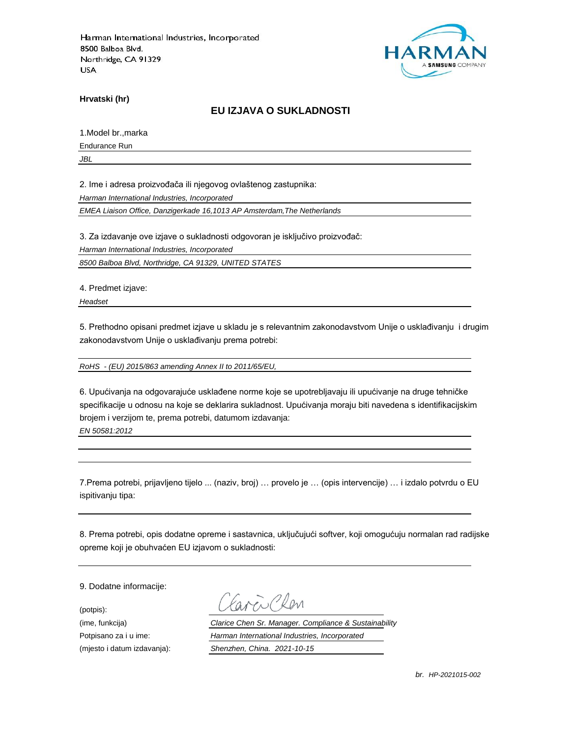

**Hrvatski (hr)**

## **EU IZJAVA O SUKLADNOSTI**

1.Model br.,marka

Endurance Run

*JBL*

2. Ime i adresa proizvođača ili njegovog ovlaštenog zastupnika:

*Harman International Industries, Incorporated*

*EMEA Liaison Office, Danzigerkade 16,1013 AP Amsterdam,The Netherlands*

3. Za izdavanje ove izjave o sukladnosti odgovoran je isključivo proizvođač:

*Harman International Industries, Incorporated*

*8500 Balboa Blvd, Northridge, CA 91329, UNITED STATES*

4. Predmet izjave:

*Headset*

5. Prethodno opisani predmet izjave u skladu je s relevantnim zakonodavstvom Unije o usklađivanju i drugim zakonodavstvom Unije o usklađivanju prema potrebi:

*RoHS - (EU) 2015/863 amending Annex II to 2011/65/EU,*

6. Upućivanja na odgovarajuće usklađene norme koje se upotrebljavaju ili upućivanje na druge tehničke specifikacije u odnosu na koje se deklarira sukladnost. Upućivanja moraju biti navedena s identifikacijskim brojem i verzijom te, prema potrebi, datumom izdavanja:

*EN 50581:2012*

7.Prema potrebi, prijavljeno tijelo ... (naziv, broj) … provelo je … (opis intervencije) … i izdalo potvrdu o EU ispitivanju tipa:

8. Prema potrebi, opis dodatne opreme i sastavnica, uključujući softver, koji omogućuju normalan rad radijske opreme koji je obuhvaćen EU izjavom o sukladnosti:

9. Dodatne informacije:

(potpis):

CRen

(ime, funkcija) *Clarice Chen Sr. Manager. Compliance & Sustainability* Potpisano za i u ime: *Harman International Industries, Incorporated* (mjesto i datum izdavanja): *Shenzhen, China. 2021-10-15*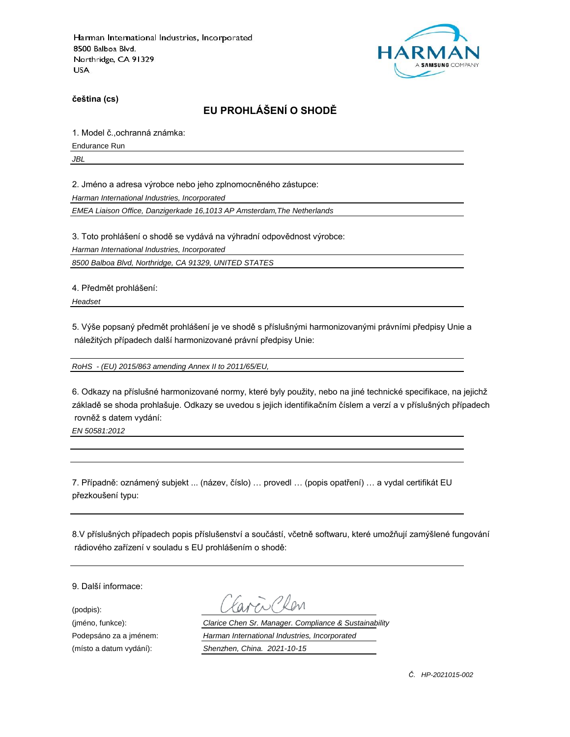

**čeština (cs)**

# **EU PROHLÁŠENÍ O SHODĚ**

1. Model č.,ochranná známka:

Endurance Run

*JBL*

2. Jméno a adresa výrobce nebo jeho zplnomocněného zástupce:

*Harman International Industries, Incorporated*

*EMEA Liaison Office, Danzigerkade 16,1013 AP Amsterdam,The Netherlands*

3. Toto prohlášení o shodě se vydává na výhradní odpovědnost výrobce:

*Harman International Industries, Incorporated*

*8500 Balboa Blvd, Northridge, CA 91329, UNITED STATES*

4. Předmět prohlášení:

*Headset*

5. Výše popsaný předmět prohlášení je ve shodě s příslušnými harmonizovanými právními předpisy Unie a náležitých případech další harmonizované právní předpisy Unie:

*RoHS - (EU) 2015/863 amending Annex II to 2011/65/EU,*

6. Odkazy na příslušné harmonizované normy, které byly použity, nebo na jiné technické specifikace, na jejichž základě se shoda prohlašuje. Odkazy se uvedou s jejich identifikačním číslem a verzí a v příslušných případech rovněž s datem vydání:

*EN 50581:2012*

7. Případně: oznámený subjekt ... (název, číslo) … provedl … (popis opatření) … a vydal certifikát EU přezkoušení typu:

8.V příslušných případech popis příslušenství a součástí, včetně softwaru, které umožňují zamýšlené fungování rádiového zařízení v souladu s EU prohlášením o shodě:

9. Další informace:

(podpis):

(jméno, funkce): *Clarice Chen Sr. Manager. Compliance & Sustainability* Podepsáno za a jménem: *Harman International Industries, Incorporated* (místo a datum vydání): *Shenzhen, China. 2021-10-15*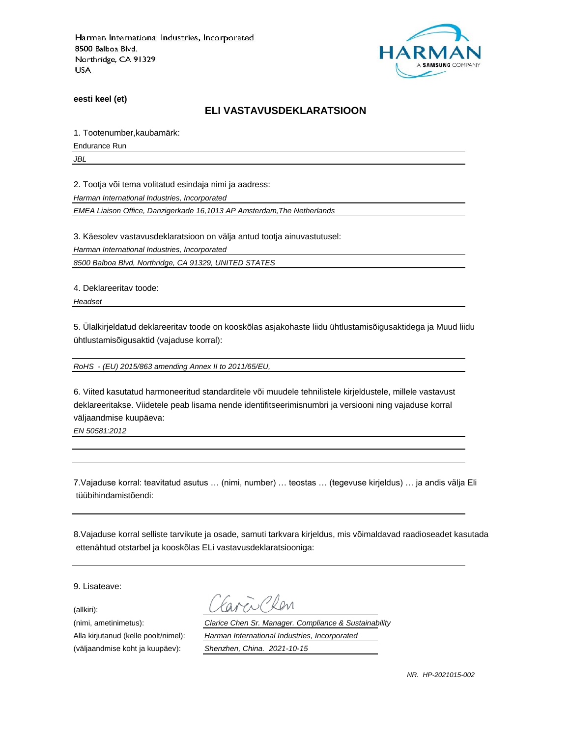

**eesti keel (et)**

### **ELI VASTAVUSDEKLARATSIOON**

1. Tootenumber,kaubamärk:

Endurance Run

*JBL*

2. Tootja või tema volitatud esindaja nimi ja aadress:

*Harman International Industries, Incorporated*

*EMEA Liaison Office, Danzigerkade 16,1013 AP Amsterdam,The Netherlands*

3. Käesolev vastavusdeklaratsioon on välja antud tootja ainuvastutusel:

*Harman International Industries, Incorporated*

*8500 Balboa Blvd, Northridge, CA 91329, UNITED STATES*

4. Deklareeritav toode:

*Headset*

5. Ülalkirjeldatud deklareeritav toode on kooskõlas asjakohaste liidu ühtlustamisõigusaktidega ja Muud liidu ühtlustamisõigusaktid (vajaduse korral):

*RoHS - (EU) 2015/863 amending Annex II to 2011/65/EU,*

6. Viited kasutatud harmoneeritud standarditele või muudele tehnilistele kirjeldustele, millele vastavust deklareeritakse. Viidetele peab lisama nende identifitseerimisnumbri ja versiooni ning vajaduse korral väljaandmise kuupäeva:

*EN 50581:2012*

7.Vajaduse korral: teavitatud asutus … (nimi, number) … teostas … (tegevuse kirjeldus) … ja andis välja Eli tüübihindamistõendi:

8.Vajaduse korral selliste tarvikute ja osade, samuti tarkvara kirjeldus, mis võimaldavad raadioseadet kasutada ettenähtud otstarbel ja kooskõlas ELi vastavusdeklaratsiooniga:

9. Lisateave:

(allkiri):

(nimi, ametinimetus): *Clarice Chen Sr. Manager. Compliance & Sustainability* Alla kirjutanud (kelle poolt/nimel): *Harman International Industries, Incorporated* (väljaandmise koht ja kuupäev): *Shenzhen, China. 2021-10-15*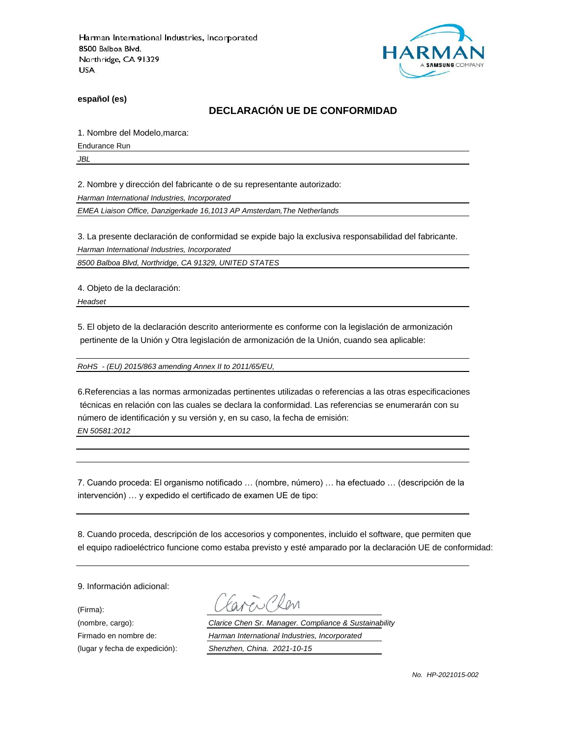

**español (es)**

## **DECLARACIÓN UE DE CONFORMIDAD**

1. Nombre del Modelo,marca:

Endurance Run

*JBL*

2. Nombre y dirección del fabricante o de su representante autorizado:

*Harman International Industries, Incorporated*

*EMEA Liaison Office, Danzigerkade 16,1013 AP Amsterdam,The Netherlands*

3. La presente declaración de conformidad se expide bajo la exclusiva responsabilidad del fabricante.

*Harman International Industries, Incorporated*

*8500 Balboa Blvd, Northridge, CA 91329, UNITED STATES*

4. Objeto de la declaración:

*Headset*

5. El objeto de la declaración descrito anteriormente es conforme con la legislación de armonización pertinente de la Unión y Otra legislación de armonización de la Unión, cuando sea aplicable:

*RoHS - (EU) 2015/863 amending Annex II to 2011/65/EU,*

6.Referencias a las normas armonizadas pertinentes utilizadas o referencias a las otras especificaciones técnicas en relación con las cuales se declara la conformidad. Las referencias se enumerarán con su número de identificación y su versión y, en su caso, la fecha de emisión: *EN 50581:2012*

7. Cuando proceda: El organismo notificado … (nombre, número) … ha efectuado … (descripción de la intervención) … y expedido el certificado de examen UE de tipo:

8. Cuando proceda, descripción de los accesorios y componentes, incluido el software, que permiten que el equipo radioeléctrico funcione como estaba previsto y esté amparado por la declaración UE de conformidad:

9. Información adicional:

(Firma):

Plen

(nombre, cargo): *Clarice Chen Sr. Manager. Compliance & Sustainability* Firmado en nombre de: *Harman International Industries, Incorporated* (lugar y fecha de expedición): *Shenzhen, China. 2021-10-15*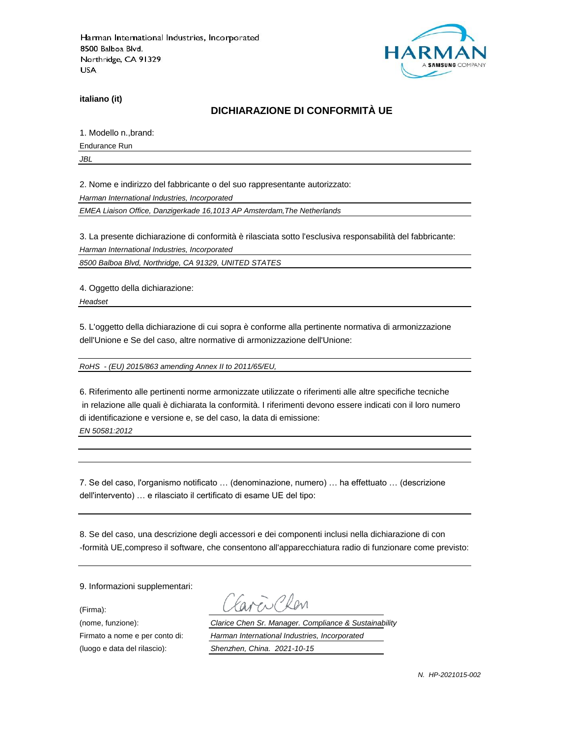

**italiano (it)**

## **DICHIARAZIONE DI CONFORMITÀ UE**

1. Modello n.,brand:

Endurance Run

*JBL*

2. Nome e indirizzo del fabbricante o del suo rappresentante autorizzato:

*Harman International Industries, Incorporated*

*EMEA Liaison Office, Danzigerkade 16,1013 AP Amsterdam,The Netherlands*

3. La presente dichiarazione di conformità è rilasciata sotto l'esclusiva responsabilità del fabbricante:

*Harman International Industries, Incorporated*

*8500 Balboa Blvd, Northridge, CA 91329, UNITED STATES*

4. Oggetto della dichiarazione:

*Headset*

5. L'oggetto della dichiarazione di cui sopra è conforme alla pertinente normativa di armonizzazione dell'Unione e Se del caso, altre normative di armonizzazione dell'Unione:

*RoHS - (EU) 2015/863 amending Annex II to 2011/65/EU,*

6. Riferimento alle pertinenti norme armonizzate utilizzate o riferimenti alle altre specifiche tecniche in relazione alle quali è dichiarata la conformità. I riferimenti devono essere indicati con il loro numero di identificazione e versione e, se del caso, la data di emissione: *EN 50581:2012*

7. Se del caso, l'organismo notificato … (denominazione, numero) … ha effettuato … (descrizione dell'intervento) … e rilasciato il certificato di esame UE del tipo:

8. Se del caso, una descrizione degli accessori e dei componenti inclusi nella dichiarazione di con -formità UE,compreso il software, che consentono all'apparecchiatura radio di funzionare come previsto:

9. Informazioni supplementari:

(Firma):

WCRen

(nome, funzione): *Clarice Chen Sr. Manager. Compliance & Sustainability* Firmato a nome e per conto di: *Harman International Industries, Incorporated* (luogo e data del rilascio): *Shenzhen, China. 2021-10-15*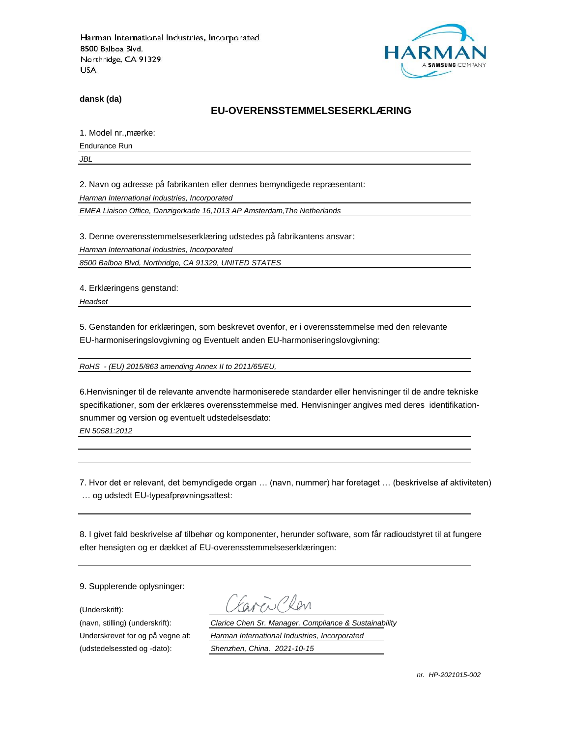

**dansk (da)**

### **EU-OVERENSSTEMMELSESERKLÆ RING**

1. Model nr., mærke:

Endurance Run

*JBL*

2. Navn og adresse på fabrikanten eller dennes bemyndigede repræ sentant:

*Harman International Industries, Incorporated*

*EMEA Liaison Office, Danzigerkade 16,1013 AP Amsterdam,The Netherlands*

3. Denne overensstemmelseserklæring udstedes på fabrikantens ansvar:

*Harman International Industries, Incorporated*

*8500 Balboa Blvd, Northridge, CA 91329, UNITED STATES*

4. Erklæringens genstand:

*Headset*

5. Genstanden for erklæringen, som beskrevet ovenfor, er i overensstemmelse med den relevante EU-harmoniseringslovgivning og Eventuelt anden EU-harmoniseringslovgivning:

*RoHS - (EU) 2015/863 amending Annex II to 2011/65/EU,*

6.Henvisninger til de relevante anvendte harmoniserede standarder eller henvisninger til de andre tekniske specifikationer, som der erklæres overensstemmelse med. Henvisninger angives med deres identifikationsnummer og version og eventuelt udstedelsesdato:

*EN 50581:2012*

7. Hvor det er relevant, det bemyndigede organ … (navn, nummer) har foretaget … (beskrivelse af aktiviteten) … og udstedt EU-typeafprøvningsattest:

8. I givet fald beskrivelse af tilbehør og komponenter, herunder software, som får radioudstyret til at fungere efter hensigten og er dækket af EU-overensstemmelseserklæringen:

9. Supplerende oplysninger:

(Underskrift):

(udstedelsessted og -dato): *Shenzhen, China. 2021-10-15*

(navn, stilling) (underskrift): *Clarice Chen Sr. Manager. Compliance & Sustainability* Underskrevet for og på vegne af: *Harman International Industries, Incorporated*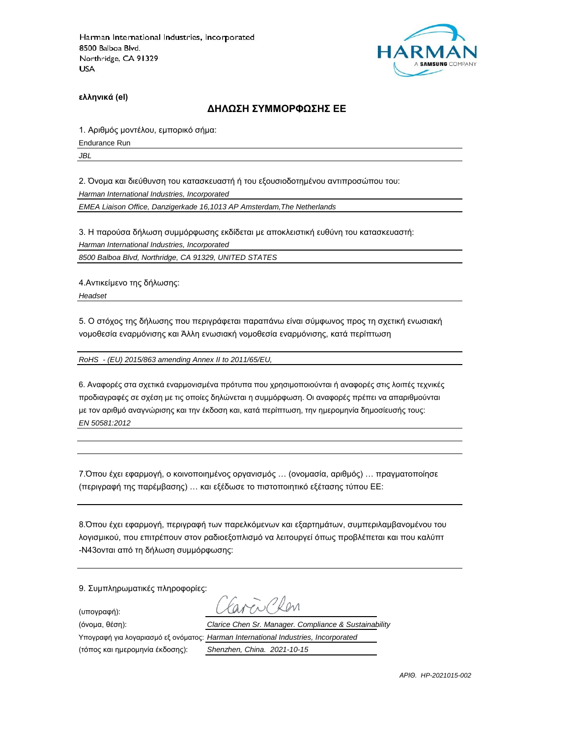

**ελληνικά (el)**

#### **ΔΗΛΩΣΗ ΣΥΜΜΟΡΦΩΣΗΣ ΕΕ**

1. Αριθμός μοντέλου, εμπορικό σήμα:

Endurance Run

*JBL*

2. Όνομα και διεύθυνση του κατασκευαστή ή του εξουσιοδοτημένου αντιπροσώπου του:

*Harman International Industries, Incorporated*

*EMEA Liaison Office, Danzigerkade 16,1013 AP Amsterdam,The Netherlands*

3. Η παρούσα δήλωση συμμόρφωσης εκδίδεται με αποκλειστική ευθύνη του κατασκευαστή:

*Harman International Industries, Incorporated*

*8500 Balboa Blvd, Northridge, CA 91329, UNITED STATES*

4.Αντικείμενο της δήλωσης:

*Headset*

5. Ο στόχος της δήλωσης που περιγράφεται παραπάνω είναι σύμφωνος προς τη σχετική ενωσιακή νομοθεσία εναρμόνισης και Άλλη ενωσιακή νομοθεσία εναρμόνισης, κατά περίπτωση

*RoHS - (EU) 2015/863 amending Annex II to 2011/65/EU,*

6. Αναφορές στα σχετικά εναρμονισμένα πρότυπα που χρησιμοποιούνται ή αναφορές στις λοιπές τεχνικές προδιαγραφές σε σχέση με τις οποίες δηλώνεται η συμμόρφωση. Οι αναφορές πρέπει να απαριθμούνται με τον αριθμό αναγνώρισης και την έκδοση και, κατά περίπτωση, την ημερομηνία δημοσίευσής τους: *EN 50581:2012*

7.Όπου έχει εφαρμογή, ο κοινοποιημένος οργανισμός … (ονομασία, αριθμός) … πραγματοποίησε (περιγραφή της παρέμβασης) … και εξέδωσε το πιστοποιητικό εξέτασης τύπου ΕΕ:

8.Όπου έχει εφαρμογή, περιγραφή των παρελκόμενων και εξαρτημάτων, συμπεριλαμβανομένου του λογισμικού, που επιτρέπουν στον ραδιοεξοπλισμό να λειτουργεί όπως προβλέπεται και που καλύπτ -N43ονται από τη δήλωση συμμόρφωσης:

9. Συμπληρωματικές πληροφορίες:

(υπογραφή):

 $N_{\ell}$ 

(όνομα, θέση): *Clarice Chen Sr. Manager. Compliance & Sustainability*

(τόπος και ημερομηνία έκδοσης): *Shenzhen, China. 2021-10-15*

Υπογραφή για λογαριασμό εξ ονόματος: *Harman International Industries, Incorporated*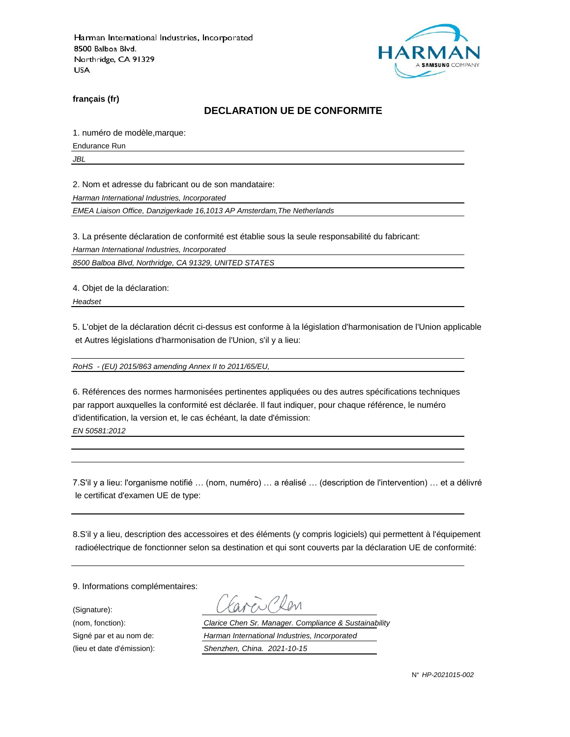

**français (fr)**

### **DECLARATION UE DE CONFORMITE**

1. numéro de modèle,marque:

Endurance Run

*JBL*

2. Nom et adresse du fabricant ou de son mandataire:

*Harman International Industries, Incorporated*

*EMEA Liaison Office, Danzigerkade 16,1013 AP Amsterdam,The Netherlands*

3. La présente déclaration de conformité est établie sous la seule responsabilité du fabricant:

*Harman International Industries, Incorporated*

*8500 Balboa Blvd, Northridge, CA 91329, UNITED STATES*

4. Objet de la déclaration:

*Headset*

5. L'objet de la déclaration décrit ci-dessus est conforme à la législation d'harmonisation de l'Union applicable et Autres législations d'harmonisation de l'Union, s'il y a lieu:

*RoHS - (EU) 2015/863 amending Annex II to 2011/65/EU,*

6. Références des normes harmonisées pertinentes appliquées ou des autres spécifications techniques par rapport auxquelles la conformité est déclarée. Il faut indiquer, pour chaque référence, le numéro d'identification, la version et, le cas échéant, la date d'émission: *EN 50581:2012*

7.S'il y a lieu: l'organisme notifié … (nom, numéro) … a réalisé … (description de l'intervention) … et a délivré le certificat d'examen UE de type:

8.S'il y a lieu, description des accessoires et des éléments (y compris logiciels) qui permettent à l'équipement radioélectrique de fonctionner selon sa destination et qui sont couverts par la déclaration UE de conformité:

9. Informations complémentaires:

(Signature):

(nom, fonction): *Clarice Chen Sr. Manager. Compliance & Sustainability* Signé par et au nom de: *Harman International Industries, Incorporated* (lieu et date d'émission): *Shenzhen, China. 2021-10-15*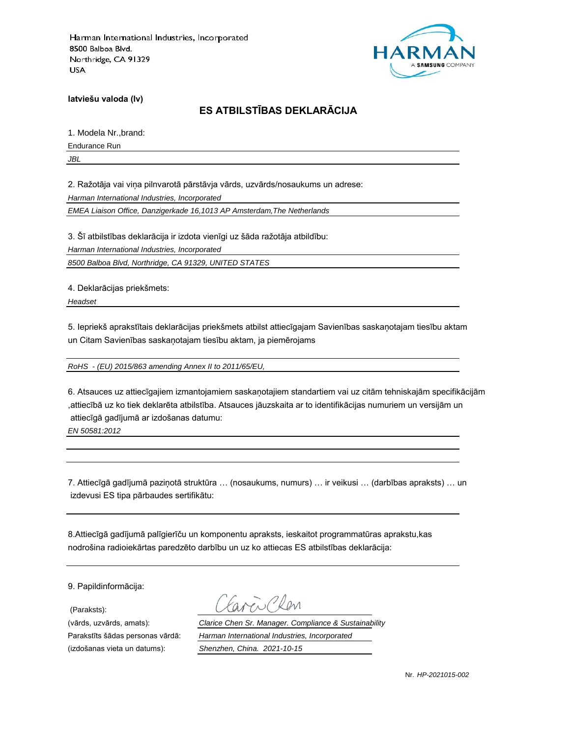

**latviešu valoda (lv)**

# **ES ATBILSTĪBAS DEKLARĀCIJA**

1. Modela Nr.,brand:

Endurance Run

*JBL*

2. Ražotāja vai viņa pilnvarotā pārstāvja vārds, uzvārds/nosaukums un adrese:

*Harman International Industries, Incorporated*

*EMEA Liaison Office, Danzigerkade 16,1013 AP Amsterdam,The Netherlands*

3. Šī atbilstības deklarācija ir izdota vienīgi uz šāda ražotāja atbildību:

*Harman International Industries, Incorporated*

*8500 Balboa Blvd, Northridge, CA 91329, UNITED STATES*

4. Deklarācijas priekšmets:

*Headset*

5. Iepriekš aprakstītais deklarācijas priekšmets atbilst attiecīgajam Savienības saskaņotajam tiesību aktam un Citam Savienības saskaņotajam tiesību aktam, ja piemērojams

*RoHS - (EU) 2015/863 amending Annex II to 2011/65/EU,*

6. Atsauces uz attiecīgajiem izmantojamiem saskaņotajiem standartiem vai uz citām tehniskajām specifikācijām ,attiecībā uz ko tiek deklarēta atbilstība. Atsauces jāuzskaita ar to identifikācijas numuriem un versijām un attiecīgā gadījumā ar izdošanas datumu:

*EN 50581:2012*

7. Attiecīgā gadījumā paziņotā struktūra … (nosaukums, numurs) … ir veikusi … (darbības apraksts) … un izdevusi ES tipa pārbaudes sertifikātu:

8.Attiecīgā gadījumā palīgierīču un komponentu apraksts, ieskaitot programmatūras aprakstu,kas nodrošina radioiekārtas paredzēto darbību un uz ko attiecas ES atbilstības deklarācija:

9. Papildinformācija:

(Paraksts):

(izdošanas vieta un datums): *Shenzhen, China. 2021-10-15*

(vārds, uzvārds, amats): *Clarice Chen Sr. Manager. Compliance & Sustainability* Parakstīts šādas personas vārdā: *Harman International Industries, Incorporated*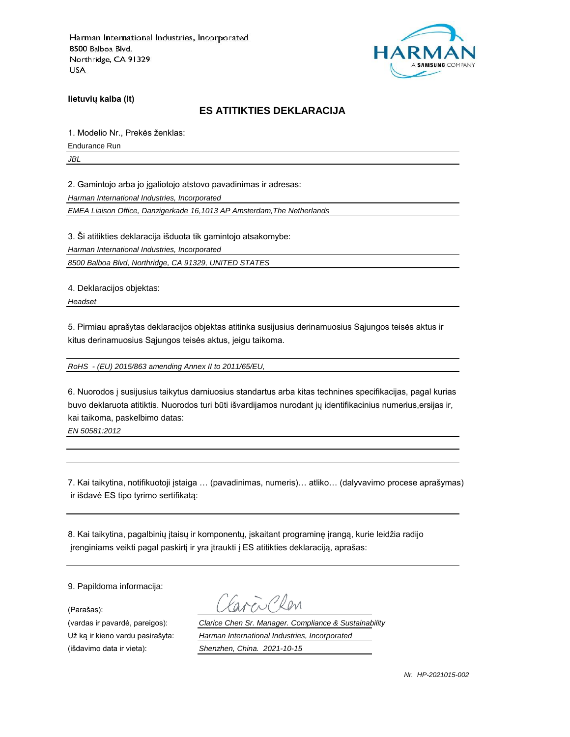

**lietuvių kalba (lt)**

### **ES ATITIKTIES DEKLARACIJA**

1. Modelio Nr., Prekės ženklas:

Endurance Run

*JBL*

2. Gamintojo arba jo įgaliotojo atstovo pavadinimas ir adresas:

*Harman International Industries, Incorporated*

*EMEA Liaison Office, Danzigerkade 16,1013 AP Amsterdam,The Netherlands*

3. Ši atitikties deklaracija išduota tik gamintojo atsakomybe:

*Harman International Industries, Incorporated*

*8500 Balboa Blvd, Northridge, CA 91329, UNITED STATES*

4. Deklaracijos objektas:

*Headset*

5. Pirmiau aprašytas deklaracijos objektas atitinka susijusius derinamuosius Sąjungos teisės aktus ir kitus derinamuosius Sąjungos teisės aktus, jeigu taikoma.

*RoHS - (EU) 2015/863 amending Annex II to 2011/65/EU,*

6. Nuorodos į susijusius taikytus darniuosius standartus arba kitas technines specifikacijas, pagal kurias buvo deklaruota atitiktis. Nuorodos turi būti išvardijamos nurodant jų identifikacinius numerius,ersijas ir, kai taikoma, paskelbimo datas:

*EN 50581:2012*

7. Kai taikytina, notifikuotoji įstaiga … (pavadinimas, numeris)… atliko… (dalyvavimo procese aprašymas) ir išdavė ES tipo tyrimo sertifikatą:

8. Kai taikytina, pagalbinių įtaisų ir komponentų, įskaitant programinę įrangą, kurie leidžia radijo įrenginiams veikti pagal paskirtį ir yra įtraukti į ES atitikties deklaraciją, aprašas:

9. Papildoma informacija:

(Parašas):

(vardas ir pavardė, pareigos): *Clarice Chen Sr. Manager. Compliance & Sustainability* Už ką ir kieno vardu pasirašyta: *Harman International Industries, Incorporated* (išdavimo data ir vieta): *Shenzhen, China. 2021-10-15*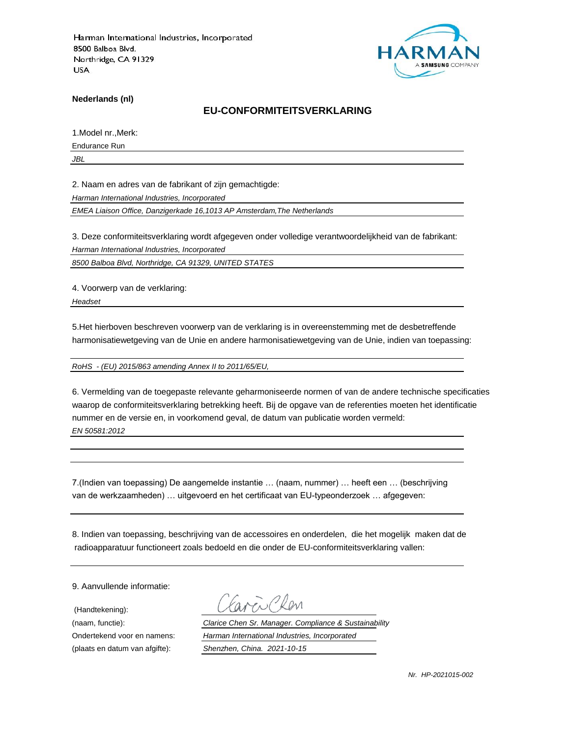

**Nederlands (nl)**

### **EU-CONFORMITEITSVERKLARING**

1.Model nr.,Merk:

Endurance Run

*JBL*

2. Naam en adres van de fabrikant of zijn gemachtigde:

*Harman International Industries, Incorporated*

*EMEA Liaison Office, Danzigerkade 16,1013 AP Amsterdam,The Netherlands*

3. Deze conformiteitsverklaring wordt afgegeven onder volledige verantwoordelijkheid van de fabrikant:

*Harman International Industries, Incorporated*

*8500 Balboa Blvd, Northridge, CA 91329, UNITED STATES*

4. Voorwerp van de verklaring:

*Headset*

5.Het hierboven beschreven voorwerp van de verklaring is in overeenstemming met de desbetreffende harmonisatiewetgeving van de Unie en andere harmonisatiewetgeving van de Unie, indien van toepassing:

*RoHS - (EU) 2015/863 amending Annex II to 2011/65/EU,*

6. Vermelding van de toegepaste relevante geharmoniseerde normen of van de andere technische specificaties waarop de conformiteitsverklaring betrekking heeft. Bij de opgave van de referenties moeten het identificatie nummer en de versie en, in voorkomend geval, de datum van publicatie worden vermeld: *EN 50581:2012*

7.(Indien van toepassing) De aangemelde instantie … (naam, nummer) … heeft een … (beschrijving van de werkzaamheden) … uitgevoerd en het certificaat van EU-typeonderzoek … afgegeven:

8. Indien van toepassing, beschrijving van de accessoires en onderdelen, die het mogelijk maken dat de radioapparatuur functioneert zoals bedoeld en die onder de EU-conformiteitsverklaring vallen:

9. Aanvullende informatie:

(Handtekening):

(naam, functie): *Clarice Chen Sr. Manager. Compliance & Sustainability* Ondertekend voor en namens: *Harman International Industries, Incorporated* (plaats en datum van afgifte): *Shenzhen, China. 2021-10-15*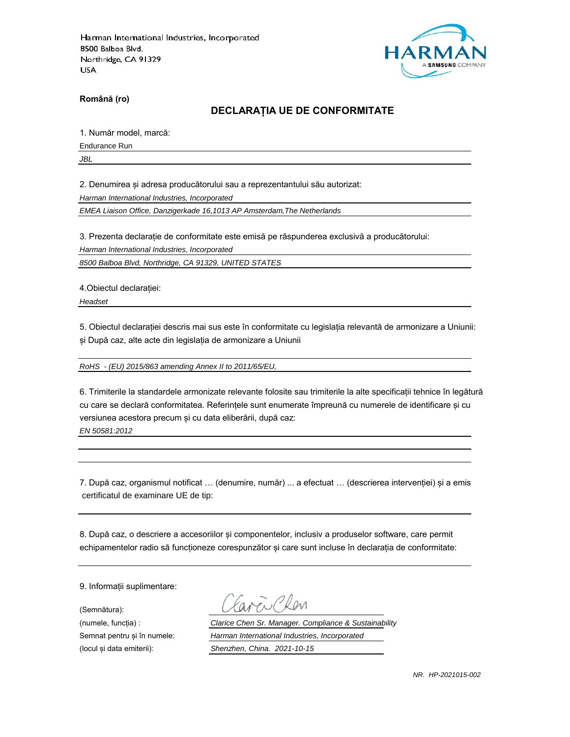

**Română (ro)**

## **DECLARAȚIA UE DE CONFORMITATE**

1. Număr model, marcă:

Endurance Run

*JBL*

2. Denumirea și adresa producătorului sau a reprezentantului său autorizat:

*Harman International Industries, Incorporated*

*EMEA Liaison Office, Danzigerkade 16,1013 AP Amsterdam,The Netherlands*

3. Prezenta declarație de conformitate este emisă pe răspunderea exclusivă a producătorului:

*Harman International Industries, Incorporated*

*8500 Balboa Blvd, Northridge, CA 91329, UNITED STATES*

4.Obiectul declarației:

*Headset*

5. Obiectul declarației descris mai sus este în conformitate cu legislația relevantă de armonizare a Uniunii: și După caz, alte acte din legislația de armonizare a Uniunii

*RoHS - (EU) 2015/863 amending Annex II to 2011/65/EU,*

6. Trimiterile la standardele armonizate relevante folosite sau trimiterile la alte specificații tehnice în legătură cu care se declară conformitatea. Referințele sunt enumerate împreună cu numerele de identificare și cu versiunea acestora precum și cu data eliberării, după caz:

*EN 50581:2012*

7. După caz, organismul notificat … (denumire, număr) ... a efectuat … (descrierea intervenției) și a emis certificatul de examinare UE de tip:

8. După caz, o descriere a accesoriilor și componentelor, inclusiv a produselor software, care permit echipamentelor radio să funcționeze corespunzător și care sunt incluse în declarația de conformitate:

9. Informații suplimentare:

(Semnătura):

(numele, funcția) : *Clarice Chen Sr. Manager. Compliance & Sustainability* Semnat pentru și în numele: *Harman International Industries, Incorporated* (locul și data emiterii): *Shenzhen, China. 2021-10-15*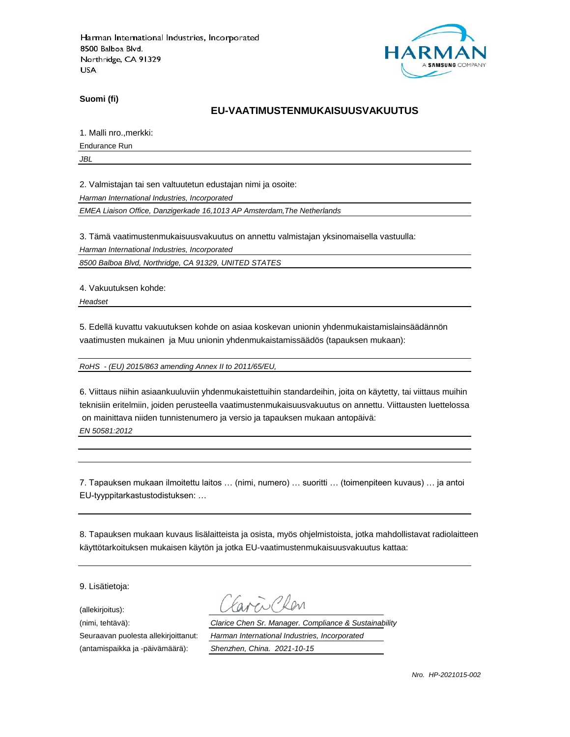

**Suomi (fi)**

## **EU-VAATIMUSTENMUKAISUUSVAKUUTUS**

1. Malli nro.,merkki:

Endurance Run

*JBL*

2. Valmistajan tai sen valtuutetun edustajan nimi ja osoite:

*Harman International Industries, Incorporated*

*EMEA Liaison Office, Danzigerkade 16,1013 AP Amsterdam,The Netherlands*

3. Tämä vaatimustenmukaisuusvakuutus on annettu valmistajan yksinomaisella vastuulla:

*Harman International Industries, Incorporated*

*8500 Balboa Blvd, Northridge, CA 91329, UNITED STATES*

4. Vakuutuksen kohde:

*Headset*

5. Edellä kuvattu vakuutuksen kohde on asiaa koskevan unionin yhdenmukaistamislainsäädännön vaatimusten mukainen ja Muu unionin yhdenmukaistamissäädös (tapauksen mukaan):

*RoHS - (EU) 2015/863 amending Annex II to 2011/65/EU,*

6. Viittaus niihin asiaankuuluviin yhdenmukaistettuihin standardeihin, joita on käytetty, tai viittaus muihin teknisiin eritelmiin, joiden perusteella vaatimustenmukaisuusvakuutus on annettu. Viittausten luettelossa on mainittava niiden tunnistenumero ja versio ja tapauksen mukaan antopäivä: *EN 50581:2012*

7. Tapauksen mukaan ilmoitettu laitos … (nimi, numero) … suoritti … (toimenpiteen kuvaus) … ja antoi EU-tyyppitarkastustodistuksen: …

8. Tapauksen mukaan kuvaus lisälaitteista ja osista, myös ohjelmistoista, jotka mahdollistavat radiolaitteen käyttötarkoituksen mukaisen käytön ja jotka EU-vaatimustenmukaisuusvakuutus kattaa:

9. Lisätietoja:

(allekirjoitus):

(antamispaikka ja -päivämäärä): *Shenzhen, China. 2021-10-15*

(nimi, tehtävä): *Clarice Chen Sr. Manager. Compliance & Sustainability* Seuraavan puolesta allekirjoittanut: *Harman International Industries, Incorporated*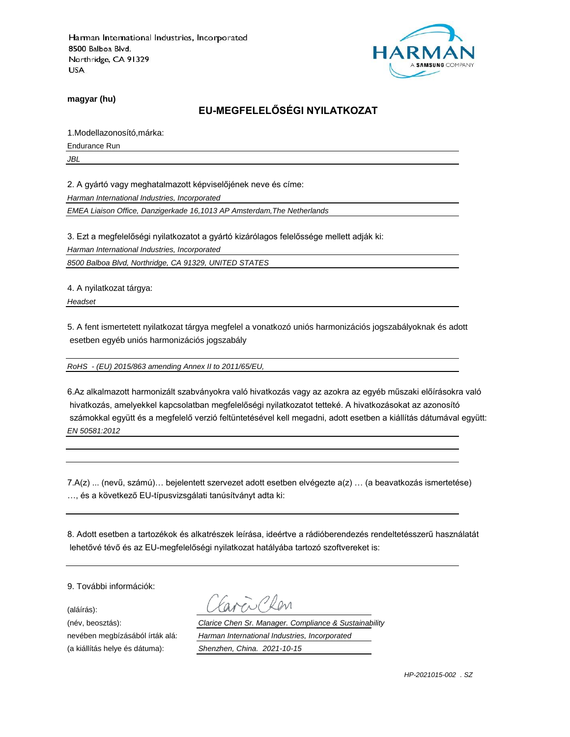

**magyar (hu)**

**EU-MEGFELELŐSÉGI NYILATKOZAT**

1.Modellazonosító,márka:

Endurance Run

*JBL*

2. A gyártó vagy meghatalmazott képviselőjének neve és címe:

*Harman International Industries, Incorporated*

*EMEA Liaison Office, Danzigerkade 16,1013 AP Amsterdam,The Netherlands*

3. Ezt a megfelelőségi nyilatkozatot a gyártó kizárólagos felelőssége mellett adják ki:

*Harman International Industries, Incorporated*

*8500 Balboa Blvd, Northridge, CA 91329, UNITED STATES*

4. A nyilatkozat tárgya:

*Headset*

5. A fent ismertetett nyilatkozat tárgya megfelel a vonatkozó uniós harmonizációs jogszabályoknak és adott esetben egyéb uniós harmonizációs jogszabály

*RoHS - (EU) 2015/863 amending Annex II to 2011/65/EU,*

6.Az alkalmazott harmonizált szabványokra való hivatkozás vagy az azokra az egyéb műszaki előírásokra való hivatkozás, amelyekkel kapcsolatban megfelelőségi nyilatkozatot tetteké. A hivatkozásokat az azonosító számokkal együtt és a megfelelő verzió feltüntetésével kell megadni, adott esetben a kiállítás dátumával együtt: *EN 50581:2012*

7.A(z) ... (nevű, számú)… bejelentett szervezet adott esetben elvégezte a(z) … (a beavatkozás ismertetése) …, és a következő EU-típusvizsgálati tanúsítványt adta ki:

8. Adott esetben a tartozékok és alkatrészek leírása, ideértve a rádióberendezés rendeltetésszerű használatát lehetővé tévő és az EU-megfelelőségi nyilatkozat hatályába tartozó szoftvereket is:

9. További információk:

(aláírás):

 $\rho_{\rm M}$ 

(név, beosztás): *Clarice Chen Sr. Manager. Compliance & Sustainability* nevében megbízásából írták alá: *Harman International Industries, Incorporated* (a kiállítás helye és dátuma): *Shenzhen, China. 2021-10-15*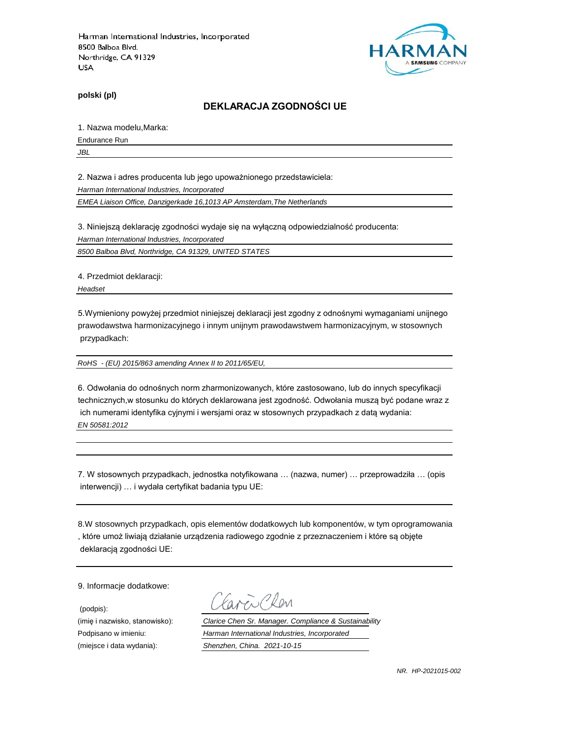

**polski (pl)**

#### **DEKLARACJA ZGODNOŚCI UE**

1. Nazwa modelu,Marka:

Endurance Run

*JBL*

2. Nazwa i adres producenta lub jego upoważnionego przedstawiciela:

*Harman International Industries, Incorporated*

*EMEA Liaison Office, Danzigerkade 16,1013 AP Amsterdam,The Netherlands*

3. Niniejszą deklarację zgodności wydaje się na wyłączną odpowiedzialność producenta:

*Harman International Industries, Incorporated*

*8500 Balboa Blvd, Northridge, CA 91329, UNITED STATES*

4. Przedmiot deklaracji:

*Headset*

5.Wymieniony powyżej przedmiot niniejszej deklaracji jest zgodny z odnośnymi wymaganiami unijnego prawodawstwa harmonizacyjnego i innym unijnym prawodawstwem harmonizacyjnym, w stosownych przypadkach:

*RoHS - (EU) 2015/863 amending Annex II to 2011/65/EU,*

6. Odwołania do odnośnych norm zharmonizowanych, które zastosowano, lub do innych specyfikacji technicznych,w stosunku do których deklarowana jest zgodność. Odwołania muszą być podane wraz z ich numerami identyfika cyjnymi i wersjami oraz w stosownych przypadkach z datą wydania: *EN 50581:2012*

7. W stosownych przypadkach, jednostka notyfikowana … (nazwa, numer) … przeprowadziła … (opis interwencji) … i wydała certyfikat badania typu UE:

8.W stosownych przypadkach, opis elementów dodatkowych lub komponentów, w tym oprogramowania , które umoż liwiają działanie urządzenia radiowego zgodnie z przeznaczeniem i które są objęte deklaracją zgodności UE:

9. Informacje dodatkowe:

(podpis):

CROM

(imię i nazwisko, stanowisko): *Clarice Chen Sr. Manager. Compliance & Sustainability* Podpisano w imieniu: *Harman International Industries, Incorporated* (miejsce i data wydania): *Shenzhen, China. 2021-10-15*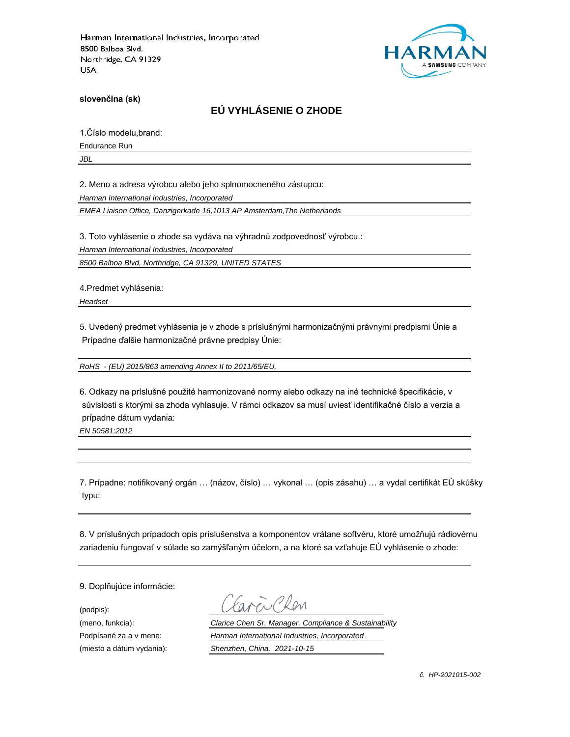

**slovenčina (sk)**

# **EÚ VYHLÁSENIE O ZHODE**

1.Číslo modelu,brand:

Endurance Run

*JBL*

2. Meno a adresa výrobcu alebo jeho splnomocneného zástupcu:

*Harman International Industries, Incorporated*

*EMEA Liaison Office, Danzigerkade 16,1013 AP Amsterdam,The Netherlands*

3. Toto vyhlásenie o zhode sa vydáva na výhradnú zodpovednosť výrobcu.:

*Harman International Industries, Incorporated*

*8500 Balboa Blvd, Northridge, CA 91329, UNITED STATES*

4.Predmet vyhlásenia:

*Headset*

5. Uvedený predmet vyhlásenia je v zhode s príslušnými harmonizačnými právnymi predpismi Únie a Prípadne ďalšie harmonizačné právne predpisy Únie:

*RoHS - (EU) 2015/863 amending Annex II to 2011/65/EU,*

6. Odkazy na príslušné použité harmonizované normy alebo odkazy na iné technické špecifikácie, v súvislosti s ktorými sa zhoda vyhlasuje. V rámci odkazov sa musí uviesť identifikačné číslo a verzia a prípadne dátum vydania:

*EN 50581:2012*

7. Prípadne: notifikovaný orgán … (názov, číslo) … vykonal … (opis zásahu) … a vydal certifikát EÚ skúšky typu:

8. V príslušných prípadoch opis príslušenstva a komponentov vrátane softvéru, ktoré umožňujú rádiovému zariadeniu fungovať v súlade so zamýšľaným účelom, a na ktoré sa vzťahuje EÚ vyhlásenie o zhode:

9. Doplňujúce informácie:

(podpis):

(meno, funkcia): *Clarice Chen Sr. Manager. Compliance & Sustainability* Podpísané za a v mene: *Harman International Industries, Incorporated* (miesto a dátum vydania): *Shenzhen, China. 2021-10-15*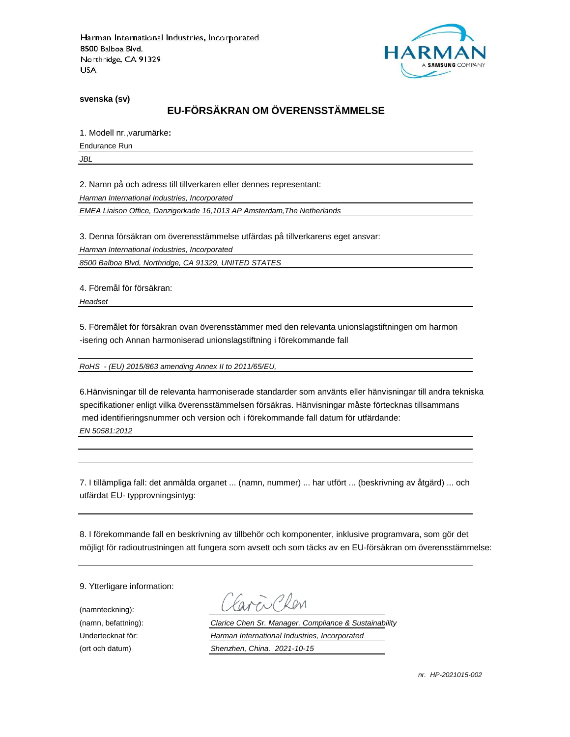

**svenska (sv)**

# **EU-FÖRSÄKRAN OM ÖVERENSSTÄMMELSE**

1. Modell nr.,varumärke**:**

Endurance Run

*JBL*

2. Namn på och adress till tillverkaren eller dennes representant:

*Harman International Industries, Incorporated*

*EMEA Liaison Office, Danzigerkade 16,1013 AP Amsterdam,The Netherlands*

3. Denna försäkran om överensstämmelse utfärdas på tillverkarens eget ansvar:

*Harman International Industries, Incorporated*

*8500 Balboa Blvd, Northridge, CA 91329, UNITED STATES*

4. Föremål för försäkran:

*Headset*

5. Föremålet för försäkran ovan överensstämmer med den relevanta unionslagstiftningen om harmon -isering och Annan harmoniserad unionslagstiftning i förekommande fall

*RoHS - (EU) 2015/863 amending Annex II to 2011/65/EU,*

6.Hänvisningar till de relevanta harmoniserade standarder som använts eller hänvisningar till andra tekniska specifikationer enligt vilka överensstämmelsen försäkras. Hänvisningar måste förtecknas tillsammans med identifieringsnummer och version och i förekommande fall datum för utfärdande: *EN 50581:2012*

7. I tillämpliga fall: det anmälda organet ... (namn, nummer) ... har utfört ... (beskrivning av åtgärd) ... och utfärdat EU- typprovningsintyg:

8. I förekommande fall en beskrivning av tillbehör och komponenter, inklusive programvara, som gör det möjligt för radioutrustningen att fungera som avsett och som täcks av en EU-försäkran om överensstämmelse:

9. Ytterligare information:

(namnteckning):

EN CROM

(namn, befattning): *Clarice Chen Sr. Manager. Compliance & Sustainability* Undertecknat för: *Harman International Industries, Incorporated* (ort och datum) *Shenzhen, China. 2021-10-15*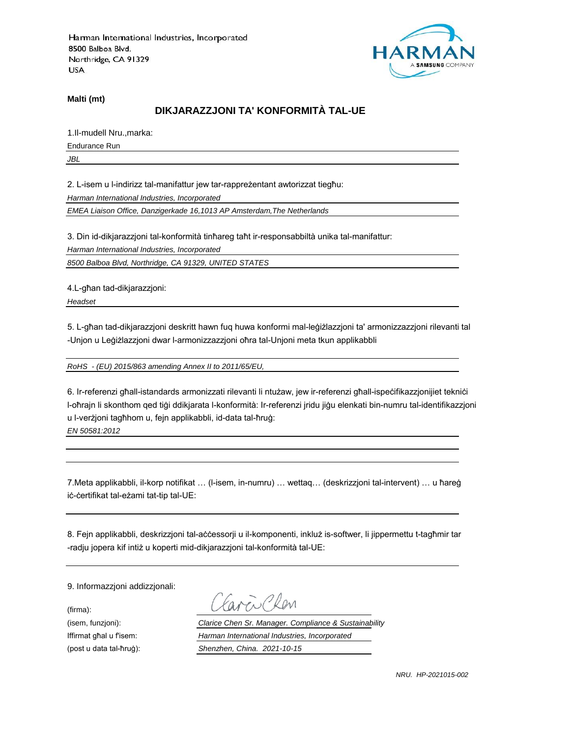

**Malti (mt)**

## **DIKJARAZZJONI TA' KONFORMITÀ TAL-UE**

1.Il-mudell Nru.,marka:

Endurance Run

*JBL*

2. L-isem u l-indirizz tal-manifattur jew tar-rappreżentant awtorizzat tiegħu:

*Harman International Industries, Incorporated*

*EMEA Liaison Office, Danzigerkade 16,1013 AP Amsterdam,The Netherlands*

3. Din id-dikjarazzjoni tal-konformità tinħareg taħt ir-responsabbiltà unika tal-manifattur:

*Harman International Industries, Incorporated*

*8500 Balboa Blvd, Northridge, CA 91329, UNITED STATES*

4.L-għan tad-dikjarazzjoni:

*Headset*

5. L-għan tad-dikjarazzjoni deskritt hawn fuq huwa konformi mal-leġiżlazzjoni ta' armonizzazzjoni rilevanti tal -Unjon u Leġiżlazzjoni dwar l-armonizzazzjoni oħra tal-Unjoni meta tkun applikabbli

*RoHS - (EU) 2015/863 amending Annex II to 2011/65/EU,*

6. Ir-referenzi għall-istandards armonizzati rilevanti li ntużaw, jew ir-referenzi għall-ispeċifikazzjonijiet tekniċi l-oħrajn li skonthom qed tiġi ddikjarata l-konformità: Ir-referenzi jridu jiġu elenkati bin-numru tal-identifikazzjoni u l-verżjoni tagħhom u, fejn applikabbli, id-data tal-ħruġ:

*EN 50581:2012*

7.Meta applikabbli, il-korp notifikat … (l-isem, in-numru) … wettaq… (deskrizzjoni tal-intervent) … u ħareġ iċ-ċertifikat tal-eżami tat-tip tal-UE:

8. Fejn applikabbli, deskrizzjoni tal-aċċessorji u il-komponenti, inkluż is-softwer, li jippermettu t-tagħmir tar -radju jopera kif intiż u koperti mid-dikjarazzjoni tal-konformità tal-UE:

9. Informazzjoni addizzjonali:

(firma):

EN CROM

(isem, funzjoni): *Clarice Chen Sr. Manager. Compliance & Sustainability* Iffirmat għal u f'isem: *Harman International Industries, Incorporated* (post u data tal-ħruġ): *Shenzhen, China. 2021-10-15*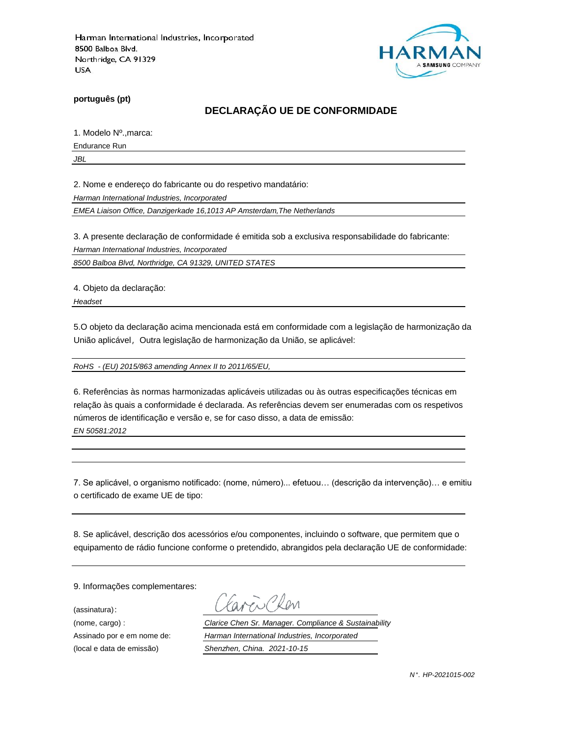

**português (pt)**

## **DECLARAÇÃO UE DE CONFORMIDADE**

1. Modelo Nº.,marca:

Endurance Run

*JBL*

2. Nome e endereço do fabricante ou do respetivo mandatário:

*Harman International Industries, Incorporated*

*EMEA Liaison Office, Danzigerkade 16,1013 AP Amsterdam,The Netherlands*

3. A presente declaração de conformidade é emitida sob a exclusiva responsabilidade do fabricante:

*Harman International Industries, Incorporated*

*8500 Balboa Blvd, Northridge, CA 91329, UNITED STATES*

4. Objeto da declaração:

*Headset*

5.O objeto da declaração acima mencionada está em conformidade com a legislação de harmonização da União aplicável, Outra legislação de harmonização da União, se aplicável:

*RoHS - (EU) 2015/863 amending Annex II to 2011/65/EU,*

6. Referências às normas harmonizadas aplicáveis utilizadas ou às outras especificações técnicas em relação às quais a conformidade é declarada. As referências devem ser enumeradas com os respetivos números de identificação e versão e, se for caso disso, a data de emissão: *EN 50581:2012*

7. Se aplicável, o organismo notificado: (nome, número)... efetuou… (descrição da intervenção)… e emitiu o certificado de exame UE de tipo:

8. Se aplicável, descrição dos acessórios e/ou componentes, incluindo o software, que permitem que o equipamento de rádio funcione conforme o pretendido, abrangidos pela declaração UE de conformidade:

9. Informações complementares:

(assinatura):

Clen

(nome, cargo) : *Clarice Chen Sr. Manager. Compliance & Sustainability* Assinado por e em nome de: *Harman International Industries, Incorporated* (local e data de emissão) *Shenzhen, China. 2021-10-15*